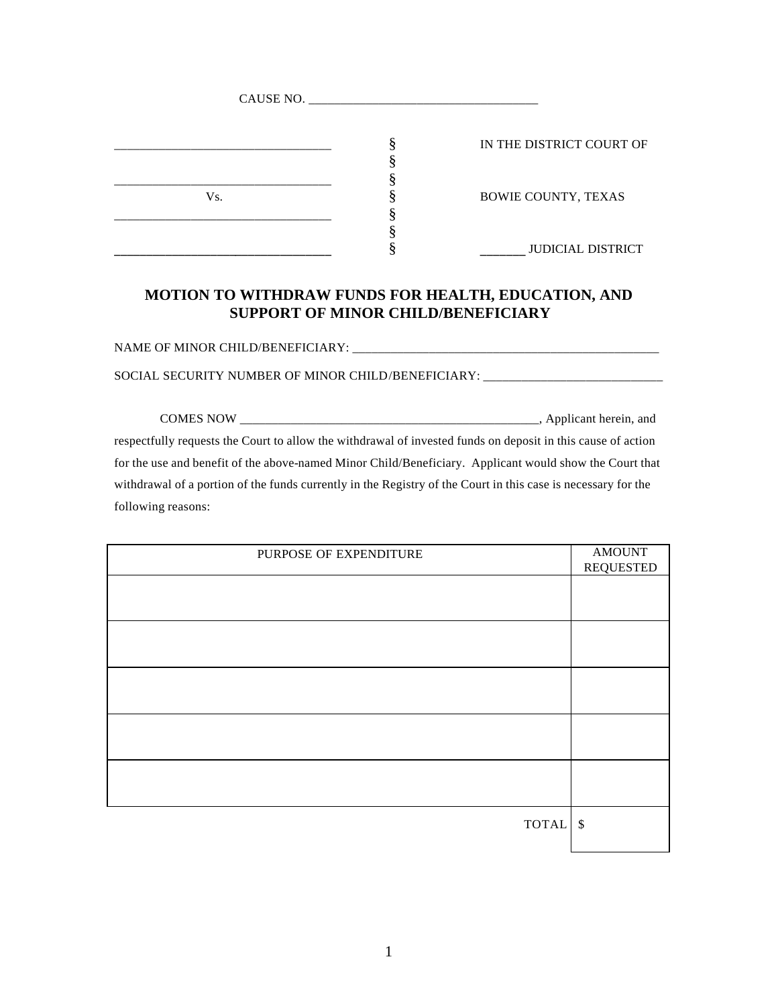| CAUSE NO. |                            |
|-----------|----------------------------|
|           | IN THE DISTRICT COURT OF   |
| Vs.       | <b>BOWIE COUNTY, TEXAS</b> |
|           | <b>JUDICIAL DISTRICT</b>   |

## **MOTION TO WITHDRAW FUNDS FOR HEALTH, EDUCATION, AND SUPPORT OF MINOR CHILD/BENEFICIARY**

NAME OF MINOR CHILD/BENEFICIARY: \_\_\_\_\_\_\_\_\_\_\_\_\_\_\_\_\_\_\_\_\_\_\_\_\_\_\_\_\_\_\_\_\_\_\_\_\_\_\_\_\_\_\_\_\_\_\_\_

SOCIAL SECURITY NUMBER OF MINOR CHILD/BENEFICIARY: \_\_\_\_\_\_\_\_\_\_\_\_\_\_\_\_\_\_\_\_\_\_\_\_\_\_\_\_\_

COMES NOW \_\_\_\_\_\_\_\_\_\_\_\_\_\_\_\_\_\_\_\_\_\_\_\_\_\_\_\_\_\_\_\_\_\_\_\_\_\_\_\_\_\_\_\_\_\_\_, Applicant herein, and respectfully requests the Court to allow the withdrawal of invested funds on deposit in this cause of action for the use and benefit of the above-named Minor Child/Beneficiary. Applicant would show the Court that withdrawal of a portion of the funds currently in the Registry of the Court in this case is necessary for the following reasons:

| PURPOSE OF EXPENDITURE | AMOUNT<br><b>REQUESTED</b> |
|------------------------|----------------------------|
|                        |                            |
|                        |                            |
|                        |                            |
|                        |                            |
|                        |                            |
|                        |                            |